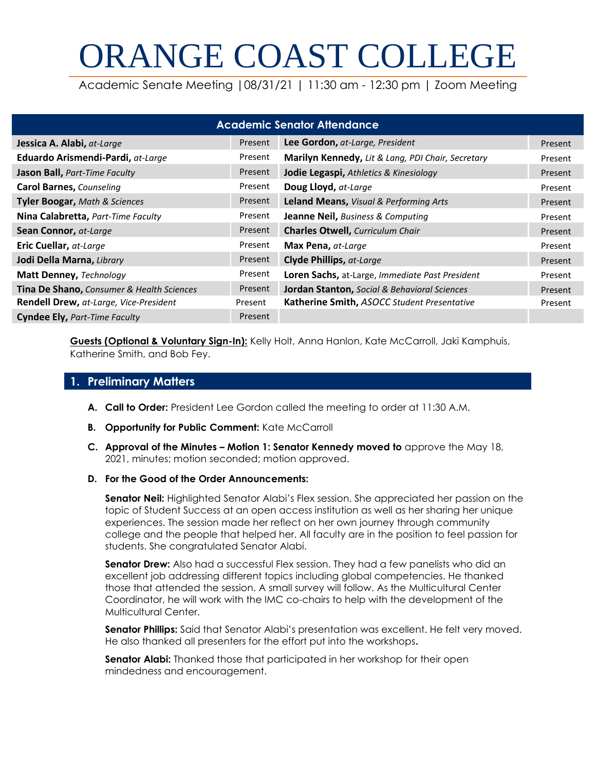# ORANGE COAST COLLEGE

Academic Senate Meeting |08/31/21 | 11:30 am - 12:30 pm | Zoom Meeting

| <b>Academic Senator Attendance</b>        |         |                                                         |         |
|-------------------------------------------|---------|---------------------------------------------------------|---------|
| Jessica A. Alabi, at-Large                | Present | Lee Gordon, at-Large, President                         | Present |
| Eduardo Arismendi-Pardi, at-Large         | Present | Marilyn Kennedy, Lit & Lang, PDI Chair, Secretary       | Present |
| Jason Ball, Part-Time Faculty             | Present | Jodie Legaspi, Athletics & Kinesiology                  | Present |
| <b>Carol Barnes, Counseling</b>           | Present | Doug Lloyd, at-Large                                    | Present |
| Tyler Boogar, Math & Sciences             | Present | Leland Means, Visual & Performing Arts                  | Present |
| Nina Calabretta, Part-Time Faculty        | Present | <b>Jeanne Neil, Business &amp; Computing</b>            | Present |
| Sean Connor, at-Large                     | Present | <b>Charles Otwell, Curriculum Chair</b>                 | Present |
| Eric Cuellar, at-Large                    | Present | Max Pena, at-Large                                      | Present |
| Jodi Della Marna, Library                 | Present | Clyde Phillips, at-Large                                | Present |
| Matt Denney, Technology                   | Present | Loren Sachs, at-Large, Immediate Past President         | Present |
| Tina De Shano, Consumer & Health Sciences | Present | <b>Jordan Stanton, Social &amp; Behavioral Sciences</b> | Present |
| Rendell Drew, at-Large, Vice-President    | Present | Katherine Smith, ASOCC Student Presentative             | Present |
| <b>Cyndee Ely, Part-Time Faculty</b>      | Present |                                                         |         |

**Guests (Optional & Voluntary Sign-In):** Kelly Holt, Anna Hanlon, Kate McCarroll, Jaki Kamphuis, Katherine Smith, and Bob Fey.

## **1. Preliminary Matters**

- **A. Call to Order:** President Lee Gordon called the meeting to order at 11:30 A.M.
- **B. Opportunity for Public Comment:** Kate McCarroll
- **C. Approval of the Minutes – Motion 1: Senator Kennedy moved to** approve the May 18, 2021, minutes; motion seconded; motion approved.
- **D. For the Good of the Order Announcements:**

**Senator Neil:** Highlighted Senator Alabi's Flex session. She appreciated her passion on the topic of Student Success at an open access institution as well as her sharing her unique experiences. The session made her reflect on her own journey through community college and the people that helped her. All faculty are in the position to feel passion for students. She congratulated Senator Alabi.

**Senator Drew:** Also had a successful Flex session. They had a few panelists who did an excellent job addressing different topics including global competencies. He thanked those that attended the session. A small survey will follow. As the Multicultural Center Coordinator, he will work with the IMC co-chairs to help with the development of the Multicultural Center.

**Senator Phillips:** Said that Senator Alabi's presentation was excellent. He felt very moved. He also thanked all presenters for the effort put into the workshops**.** 

**Senator Alabi:** Thanked those that participated in her workshop for their open mindedness and encouragement.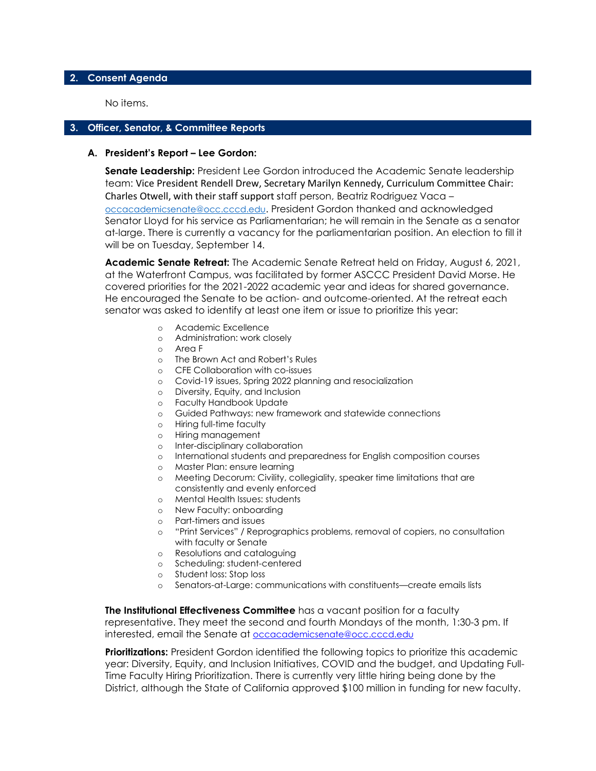#### **2. Consent Agenda**

No items.

#### **3. Officer, Senator, & Committee Reports**

#### **A. President's Report – Lee Gordon:**

**Senate Leadership:** President Lee Gordon introduced the Academic Senate leadership team: Vice President Rendell Drew, Secretary Marilyn Kennedy, Curriculum Committee Chair: Charles Otwell, with their staff support staff person, Beatriz Rodriguez Vaca – [occacademicsenate@occ.cccd.edu](mailto:occacademicsenate@occ.cccd.edu). President Gordon thanked and acknowledged Senator Lloyd for his service as Parliamentarian; he will remain in the Senate as a senator at-large. There is currently a vacancy for the parliamentarian position. An election to fill it will be on Tuesday, September 14.

**Academic Senate Retreat:** The Academic Senate Retreat held on Friday, August 6, 2021, at the Waterfront Campus, was facilitated by former ASCCC President David Morse. He covered priorities for the 2021-2022 academic year and ideas for shared governance. He encouraged the Senate to be action- and outcome-oriented. At the retreat each senator was asked to identify at least one item or issue to prioritize this year:

- o Academic Excellence
- o Administration: work closely
- o Area F
- o The Brown Act and Robert's Rules
- o CFE Collaboration with co-issues
- o Covid-19 issues, Spring 2022 planning and resocialization
- o Diversity, Equity, and Inclusion
- o Faculty Handbook Update
- o Guided Pathways: new framework and statewide connections
- o Hiring full-time faculty
- o Hiring management
- o Inter-disciplinary collaboration
- o International students and preparedness for English composition courses
- o Master Plan: ensure learning
- o Meeting Decorum: Civility, collegiality, speaker time limitations that are consistently and evenly enforced
- o Mental Health Issues: students
- o New Faculty: onboarding
- o Part-timers and issues
- "Print Services" / Reprographics problems, removal of copiers, no consultation with faculty or Senate
- o Resolutions and cataloguing
- o Scheduling: student-centered
- o Student loss: Stop loss
- Senators-at-Large: communications with constituents—create emails lists

**The Institutional Effectiveness Committee** has a vacant position for a faculty representative. They meet the second and fourth Mondays of the month, 1:30-3 pm. If interested, email the Senate at [occacademicsenate@occ.cccd.edu](mailto:occacademicsenate@occ.cccd.edu)

**Prioritizations:** President Gordon identified the following topics to prioritize this academic year: Diversity, Equity, and Inclusion Initiatives, COVID and the budget, and Updating Full-Time Faculty Hiring Prioritization. There is currently very little hiring being done by the District, although the State of California approved \$100 million in funding for new faculty.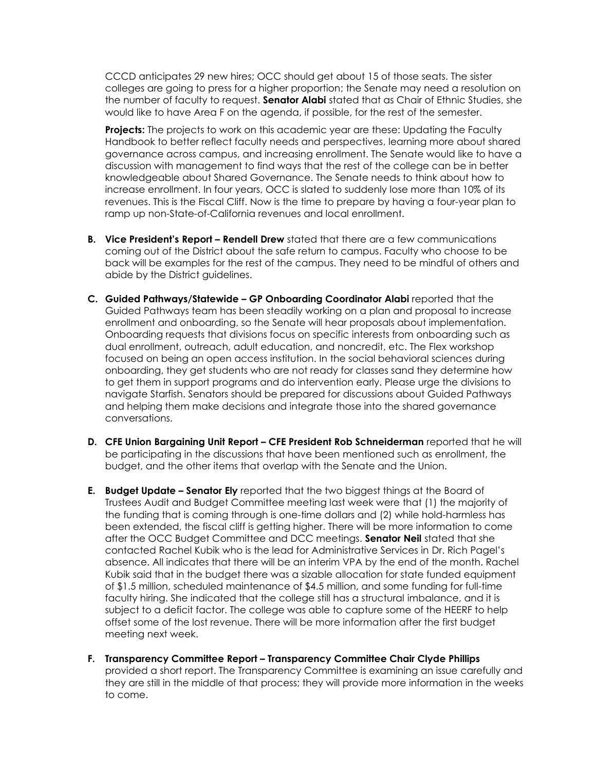CCCD anticipates 29 new hires; OCC should get about 15 of those seats. The sister colleges are going to press for a higher proportion; the Senate may need a resolution on the number of faculty to request. **Senator Alabi** stated that as Chair of Ethnic Studies, she would like to have Area F on the agenda, if possible, for the rest of the semester.

**Projects:** The projects to work on this academic year are these: Updating the Faculty Handbook to better reflect faculty needs and perspectives, learning more about shared governance across campus, and increasing enrollment. The Senate would like to have a discussion with management to find ways that the rest of the college can be in better knowledgeable about Shared Governance. The Senate needs to think about how to increase enrollment. In four years, OCC is slated to suddenly lose more than 10% of its revenues. This is the Fiscal Cliff. Now is the time to prepare by having a four-year plan to ramp up non-State-of-California revenues and local enrollment.

- **B. Vice President's Report – Rendell Drew** stated that there are a few communications coming out of the District about the safe return to campus. Faculty who choose to be back will be examples for the rest of the campus. They need to be mindful of others and abide by the District guidelines.
- **C. Guided Pathways/Statewide – GP Onboarding Coordinator Alabi** reported that the Guided Pathways team has been steadily working on a plan and proposal to increase enrollment and onboarding, so the Senate will hear proposals about implementation. Onboarding requests that divisions focus on specific interests from onboarding such as dual enrollment, outreach, adult education, and noncredit, etc. The Flex workshop focused on being an open access institution. In the social behavioral sciences during onboarding, they get students who are not ready for classes sand they determine how to get them in support programs and do intervention early. Please urge the divisions to navigate Starfish. Senators should be prepared for discussions about Guided Pathways and helping them make decisions and integrate those into the shared governance conversations.
- **D. CFE Union Bargaining Unit Report – CFE President Rob Schneiderman** reported that he will be participating in the discussions that have been mentioned such as enrollment, the budget, and the other items that overlap with the Senate and the Union.
- **E. Budget Update – Senator Ely** reported that the two biggest things at the Board of Trustees Audit and Budget Committee meeting last week were that (1) the majority of the funding that is coming through is one-time dollars and (2) while hold-harmless has been extended, the fiscal cliff is getting higher. There will be more information to come after the OCC Budget Committee and DCC meetings. **Senator Neil** stated that she contacted Rachel Kubik who is the lead for Administrative Services in Dr. Rich Pagel's absence. All indicates that there will be an interim VPA by the end of the month. Rachel Kubik said that in the budget there was a sizable allocation for state funded equipment of \$1.5 million, scheduled maintenance of \$4.5 million, and some funding for full-time faculty hiring. She indicated that the college still has a structural imbalance, and it is subject to a deficit factor. The college was able to capture some of the HEERF to help offset some of the lost revenue. There will be more information after the first budget meeting next week.
- **F. Transparency Committee Report – Transparency Committee Chair Clyde Phillips** provided a short report. The Transparency Committee is examining an issue carefully and they are still in the middle of that process; they will provide more information in the weeks to come.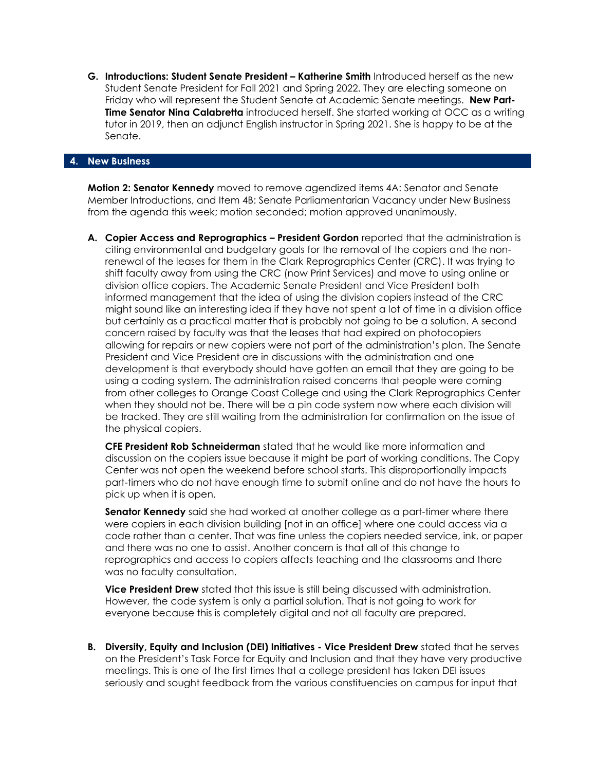**G. Introductions: Student Senate President – Katherine Smith** Introduced herself as the new Student Senate President for Fall 2021 and Spring 2022. They are electing someone on Friday who will represent the Student Senate at Academic Senate meetings. **New Part-Time Senator Nina Calabretta** introduced herself. She started working at OCC as a writing tutor in 2019, then an adjunct English instructor in Spring 2021. She is happy to be at the Senate.

#### **4. New Business**

**Motion 2: Senator Kennedy** moved to remove agendized items 4A: Senator and Senate Member Introductions, and Item 4B: Senate Parliamentarian Vacancy under New Business from the agenda this week; motion seconded; motion approved unanimously.

**A. Copier Access and Reprographics – President Gordon** reported that the administration is citing environmental and budgetary goals for the removal of the copiers and the nonrenewal of the leases for them in the Clark Reprographics Center (CRC). It was trying to shift faculty away from using the CRC (now Print Services) and move to using online or division office copiers. The Academic Senate President and Vice President both informed management that the idea of using the division copiers instead of the CRC might sound like an interesting idea if they have not spent a lot of time in a division office but certainly as a practical matter that is probably not going to be a solution. A second concern raised by faculty was that the leases that had expired on photocopiers allowing for repairs or new copiers were not part of the administration's plan. The Senate President and Vice President are in discussions with the administration and one development is that everybody should have gotten an email that they are going to be using a coding system. The administration raised concerns that people were coming from other colleges to Orange Coast College and using the Clark Reprographics Center when they should not be. There will be a pin code system now where each division will be tracked. They are still waiting from the administration for confirmation on the issue of the physical copiers.

**CFE President Rob Schneiderman** stated that he would like more information and discussion on the copiers issue because it might be part of working conditions. The Copy Center was not open the weekend before school starts. This disproportionally impacts part-timers who do not have enough time to submit online and do not have the hours to pick up when it is open.

**Senator Kennedy** said she had worked at another college as a part-timer where there were copiers in each division building [not in an office] where one could access via a code rather than a center. That was fine unless the copiers needed service, ink, or paper and there was no one to assist. Another concern is that all of this change to reprographics and access to copiers affects teaching and the classrooms and there was no faculty consultation.

**Vice President Drew** stated that this issue is still being discussed with administration. However, the code system is only a partial solution. That is not going to work for everyone because this is completely digital and not all faculty are prepared.

**B. Diversity, Equity and Inclusion (DEI) Initiatives - Vice President Drew** stated that he serves on the President's Task Force for Equity and Inclusion and that they have very productive meetings. This is one of the first times that a college president has taken DEI issues seriously and sought feedback from the various constituencies on campus for input that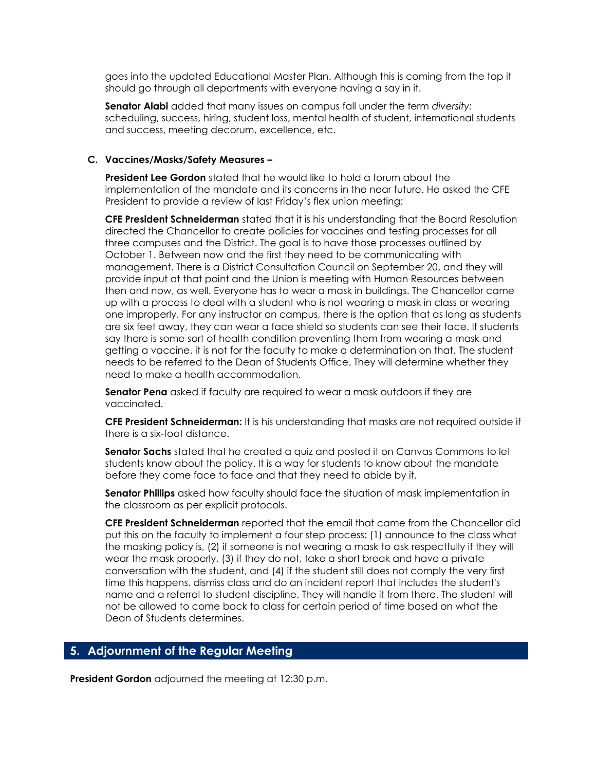goes into the updated Educational Master Plan. Although this is coming from the top it should go through all departments with everyone having a say in it.

**Senator Alabi** added that many issues on campus fall under the term *diversity:* scheduling, success, hiring, student loss, mental health of student, international students and success, meeting decorum, excellence, etc.

#### **C. Vaccines/Masks/Safety Measures –**

**President Lee Gordon** stated that he would like to hold a forum about the implementation of the mandate and its concerns in the near future. He asked the CFE President to provide a review of last Friday's flex union meeting:

**CFE President Schneiderman** stated that it is his understanding that the Board Resolution directed the Chancellor to create policies for vaccines and testing processes for all three campuses and the District. The goal is to have those processes outlined by October 1. Between now and the first they need to be communicating with management. There is a District Consultation Council on September 20, and they will provide input at that point and the Union is meeting with Human Resources between then and now, as well. Everyone has to wear a mask in buildings. The Chancellor came up with a process to deal with a student who is not wearing a mask in class or wearing one improperly. For any instructor on campus, there is the option that as long as students are six feet away, they can wear a face shield so students can see their face. If students say there is some sort of health condition preventing them from wearing a mask and getting a vaccine, it is not for the faculty to make a determination on that. The student needs to be referred to the Dean of Students Office. They will determine whether they need to make a health accommodation.

**Senator Pena** asked if faculty are required to wear a mask outdoors if they are vaccinated.

**CFE President Schneiderman:** It is his understanding that masks are not required outside if there is a six-foot distance.

**Senator Sachs** stated that he created a quiz and posted it on Canvas Commons to let students know about the policy. It is a way for students to know about the mandate before they come face to face and that they need to abide by it.

**Senator Phillips** asked how faculty should face the situation of mask implementation in the classroom as per explicit protocols.

**CFE President Schneiderman** reported that the email that came from the Chancellor did put this on the faculty to implement a four step process: (1) announce to the class what the masking policy is, (2) if someone is not wearing a mask to ask respectfully if they will wear the mask properly, (3) if they do not, take a short break and have a private conversation with the student, and (4) if the student still does not comply the very first time this happens, dismiss class and do an incident report that includes the student's name and a referral to student discipline. They will handle it from there. The student will not be allowed to come back to class for certain period of time based on what the Dean of Students determines.

#### **5. Adjournment of the Regular Meeting**

**President Gordon** adjourned the meeting at 12:30 p.m.